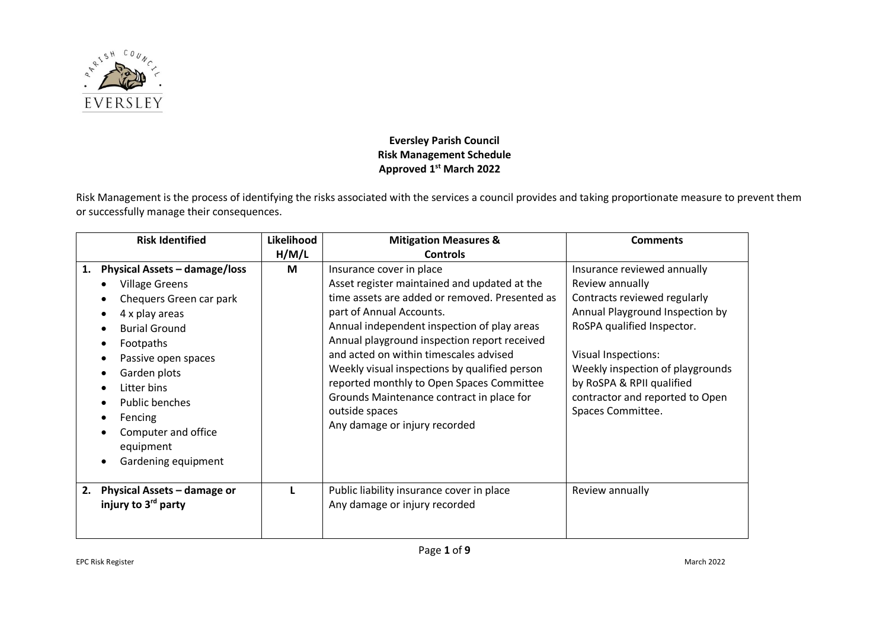

## **Eversley Parish Council Risk Management Schedule Approved 1 st March 2022**

Risk Management is the process of identifying the risks associated with the services a council provides and taking proportionate measure to prevent them or successfully manage their consequences.

|    | <b>Risk Identified</b>                                                                                                                                                                                                                                                                        | Likelihood | <b>Mitigation Measures &amp;</b>                                                                                                                                                                                                                                                                                                                                                                                                                                                              | <b>Comments</b>                                                                                                                                                                                                                                                                                        |
|----|-----------------------------------------------------------------------------------------------------------------------------------------------------------------------------------------------------------------------------------------------------------------------------------------------|------------|-----------------------------------------------------------------------------------------------------------------------------------------------------------------------------------------------------------------------------------------------------------------------------------------------------------------------------------------------------------------------------------------------------------------------------------------------------------------------------------------------|--------------------------------------------------------------------------------------------------------------------------------------------------------------------------------------------------------------------------------------------------------------------------------------------------------|
|    |                                                                                                                                                                                                                                                                                               | H/M/L      | <b>Controls</b>                                                                                                                                                                                                                                                                                                                                                                                                                                                                               |                                                                                                                                                                                                                                                                                                        |
| 1. | <b>Physical Assets - damage/loss</b><br><b>Village Greens</b><br>Chequers Green car park<br>4 x play areas<br><b>Burial Ground</b><br>Footpaths<br>Passive open spaces<br>Garden plots<br>Litter bins<br>Public benches<br>Fencing<br>Computer and office<br>equipment<br>Gardening equipment | M          | Insurance cover in place<br>Asset register maintained and updated at the<br>time assets are added or removed. Presented as<br>part of Annual Accounts.<br>Annual independent inspection of play areas<br>Annual playground inspection report received<br>and acted on within timescales advised<br>Weekly visual inspections by qualified person<br>reported monthly to Open Spaces Committee<br>Grounds Maintenance contract in place for<br>outside spaces<br>Any damage or injury recorded | Insurance reviewed annually<br>Review annually<br>Contracts reviewed regularly<br>Annual Playground Inspection by<br>RoSPA qualified Inspector.<br><b>Visual Inspections:</b><br>Weekly inspection of playgrounds<br>by RoSPA & RPII qualified<br>contractor and reported to Open<br>Spaces Committee. |
| 2. | Physical Assets - damage or<br>injury to 3 <sup>rd</sup> party                                                                                                                                                                                                                                |            | Public liability insurance cover in place<br>Any damage or injury recorded                                                                                                                                                                                                                                                                                                                                                                                                                    | Review annually                                                                                                                                                                                                                                                                                        |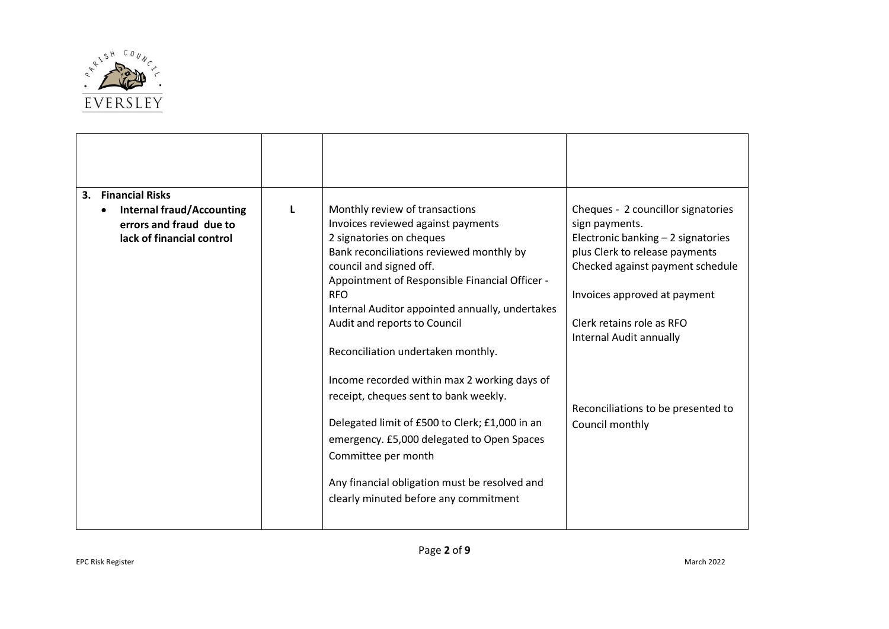

| <b>Financial Risks</b><br>3.                                                             |   |                                                                                                                                                                                                                                                                                                                                                                                                                                                                                                                                                                                  |                                                                                                                                                                                                                                                                                                                   |
|------------------------------------------------------------------------------------------|---|----------------------------------------------------------------------------------------------------------------------------------------------------------------------------------------------------------------------------------------------------------------------------------------------------------------------------------------------------------------------------------------------------------------------------------------------------------------------------------------------------------------------------------------------------------------------------------|-------------------------------------------------------------------------------------------------------------------------------------------------------------------------------------------------------------------------------------------------------------------------------------------------------------------|
| <b>Internal fraud/Accounting</b><br>errors and fraud due to<br>lack of financial control | L | Monthly review of transactions<br>Invoices reviewed against payments<br>2 signatories on cheques<br>Bank reconciliations reviewed monthly by<br>council and signed off.<br>Appointment of Responsible Financial Officer -<br><b>RFO</b><br>Internal Auditor appointed annually, undertakes<br>Audit and reports to Council<br>Reconciliation undertaken monthly.<br>Income recorded within max 2 working days of<br>receipt, cheques sent to bank weekly.<br>Delegated limit of £500 to Clerk; £1,000 in an<br>emergency. £5,000 delegated to Open Spaces<br>Committee per month | Cheques - 2 councillor signatories<br>sign payments.<br>Electronic banking - 2 signatories<br>plus Clerk to release payments<br>Checked against payment schedule<br>Invoices approved at payment<br>Clerk retains role as RFO<br>Internal Audit annually<br>Reconciliations to be presented to<br>Council monthly |
|                                                                                          |   | Any financial obligation must be resolved and<br>clearly minuted before any commitment                                                                                                                                                                                                                                                                                                                                                                                                                                                                                           |                                                                                                                                                                                                                                                                                                                   |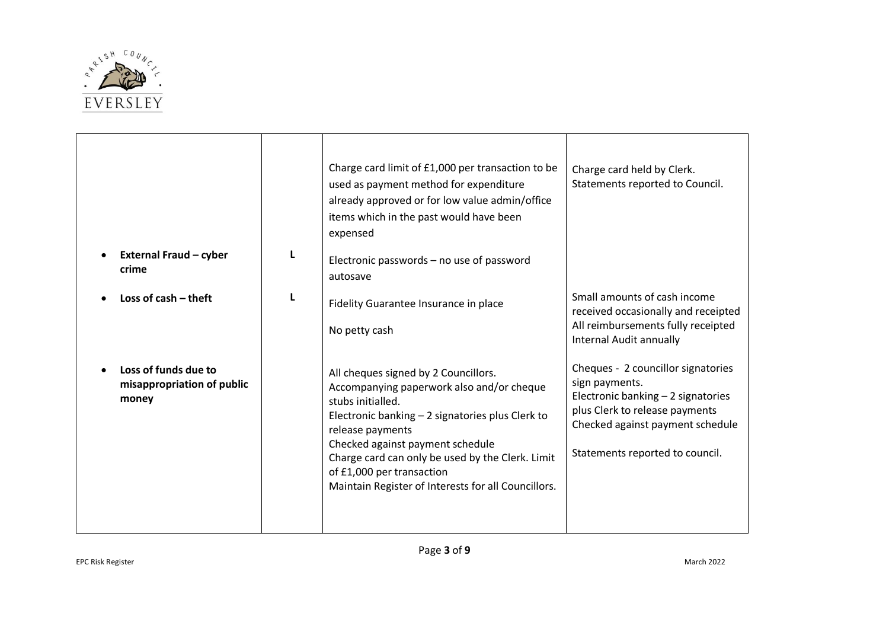

| <b>External Fraud - cyber</b><br>crime                      | L | Charge card limit of £1,000 per transaction to be<br>used as payment method for expenditure<br>already approved or for low value admin/office<br>items which in the past would have been<br>expensed<br>Electronic passwords - no use of password<br>autosave                                                                                              | Charge card held by Clerk.<br>Statements reported to Council.                                                                                                                                       |
|-------------------------------------------------------------|---|------------------------------------------------------------------------------------------------------------------------------------------------------------------------------------------------------------------------------------------------------------------------------------------------------------------------------------------------------------|-----------------------------------------------------------------------------------------------------------------------------------------------------------------------------------------------------|
| Loss of $cash$ - theft                                      | L | Fidelity Guarantee Insurance in place<br>No petty cash                                                                                                                                                                                                                                                                                                     | Small amounts of cash income<br>received occasionally and receipted<br>All reimbursements fully receipted<br>Internal Audit annually                                                                |
| Loss of funds due to<br>misappropriation of public<br>money |   | All cheques signed by 2 Councillors.<br>Accompanying paperwork also and/or cheque<br>stubs initialled.<br>Electronic banking - 2 signatories plus Clerk to<br>release payments<br>Checked against payment schedule<br>Charge card can only be used by the Clerk. Limit<br>of £1,000 per transaction<br>Maintain Register of Interests for all Councillors. | Cheques - 2 councillor signatories<br>sign payments.<br>Electronic banking - 2 signatories<br>plus Clerk to release payments<br>Checked against payment schedule<br>Statements reported to council. |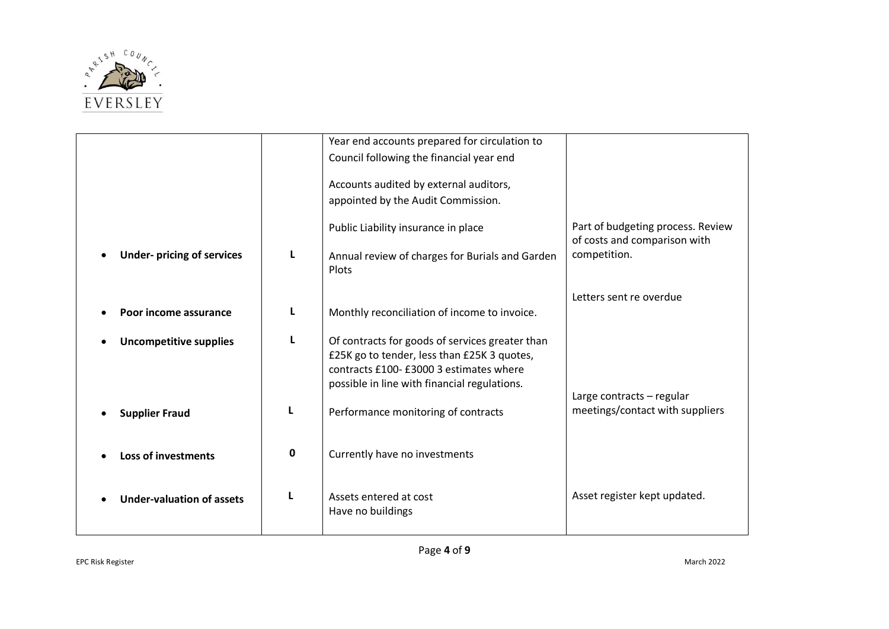

|                                  |   | Year end accounts prepared for circulation to   |                                   |
|----------------------------------|---|-------------------------------------------------|-----------------------------------|
|                                  |   | Council following the financial year end        |                                   |
|                                  |   |                                                 |                                   |
|                                  |   | Accounts audited by external auditors,          |                                   |
|                                  |   | appointed by the Audit Commission.              |                                   |
|                                  |   |                                                 |                                   |
|                                  |   | Public Liability insurance in place             | Part of budgeting process. Review |
|                                  |   |                                                 | of costs and comparison with      |
| <b>Under-pricing of services</b> | L | Annual review of charges for Burials and Garden | competition.                      |
|                                  |   | Plots                                           |                                   |
|                                  |   |                                                 |                                   |
|                                  |   |                                                 | Letters sent re overdue           |
| Poor income assurance            | L | Monthly reconciliation of income to invoice.    |                                   |
|                                  |   |                                                 |                                   |
|                                  | L | Of contracts for goods of services greater than |                                   |
| <b>Uncompetitive supplies</b>    |   |                                                 |                                   |
|                                  |   | £25K go to tender, less than £25K 3 quotes,     |                                   |
|                                  |   | contracts £100- £3000 3 estimates where         |                                   |
|                                  |   | possible in line with financial regulations.    |                                   |
|                                  |   |                                                 | Large contracts - regular         |
| <b>Supplier Fraud</b>            | L | Performance monitoring of contracts             | meetings/contact with suppliers   |
|                                  |   |                                                 |                                   |
|                                  |   |                                                 |                                   |
| <b>Loss of investments</b>       | 0 | Currently have no investments                   |                                   |
|                                  |   |                                                 |                                   |
|                                  |   |                                                 |                                   |
| <b>Under-valuation of assets</b> | L | Assets entered at cost                          | Asset register kept updated.      |
|                                  |   | Have no buildings                               |                                   |
|                                  |   |                                                 |                                   |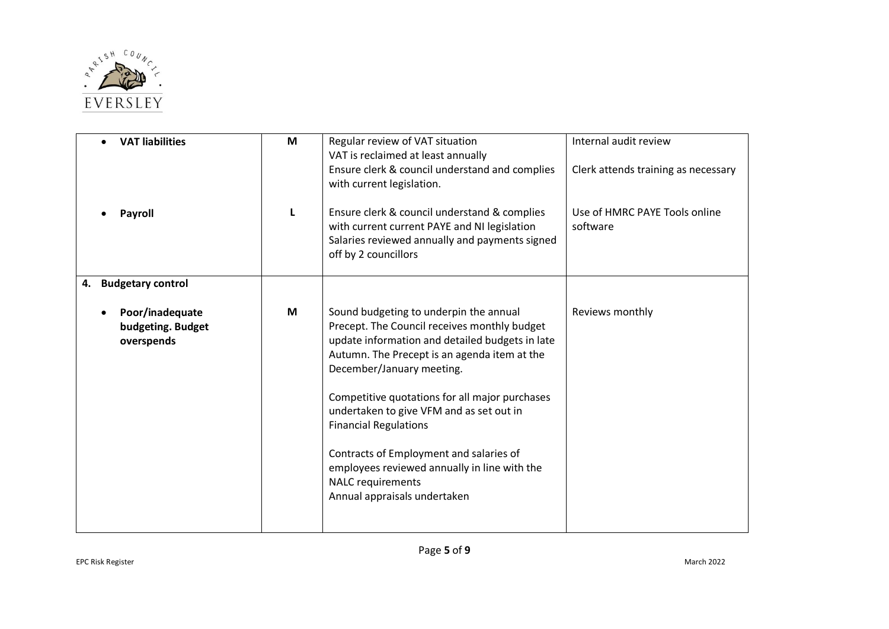

| <b>VAT liabilities</b>                             | M | Regular review of VAT situation<br>VAT is reclaimed at least annually<br>Ensure clerk & council understand and complies<br>with current legislation.                                                                                                                                                                                                                                                                                                                                                        | Internal audit review<br>Clerk attends training as necessary |
|----------------------------------------------------|---|-------------------------------------------------------------------------------------------------------------------------------------------------------------------------------------------------------------------------------------------------------------------------------------------------------------------------------------------------------------------------------------------------------------------------------------------------------------------------------------------------------------|--------------------------------------------------------------|
| <b>Payroll</b>                                     | L | Ensure clerk & council understand & complies<br>with current current PAYE and NI legislation<br>Salaries reviewed annually and payments signed<br>off by 2 councillors                                                                                                                                                                                                                                                                                                                                      | Use of HMRC PAYE Tools online<br>software                    |
| <b>Budgetary control</b><br>4.                     |   |                                                                                                                                                                                                                                                                                                                                                                                                                                                                                                             |                                                              |
| Poor/inadequate<br>budgeting. Budget<br>overspends | M | Sound budgeting to underpin the annual<br>Precept. The Council receives monthly budget<br>update information and detailed budgets in late<br>Autumn. The Precept is an agenda item at the<br>December/January meeting.<br>Competitive quotations for all major purchases<br>undertaken to give VFM and as set out in<br><b>Financial Regulations</b><br>Contracts of Employment and salaries of<br>employees reviewed annually in line with the<br><b>NALC</b> requirements<br>Annual appraisals undertaken | Reviews monthly                                              |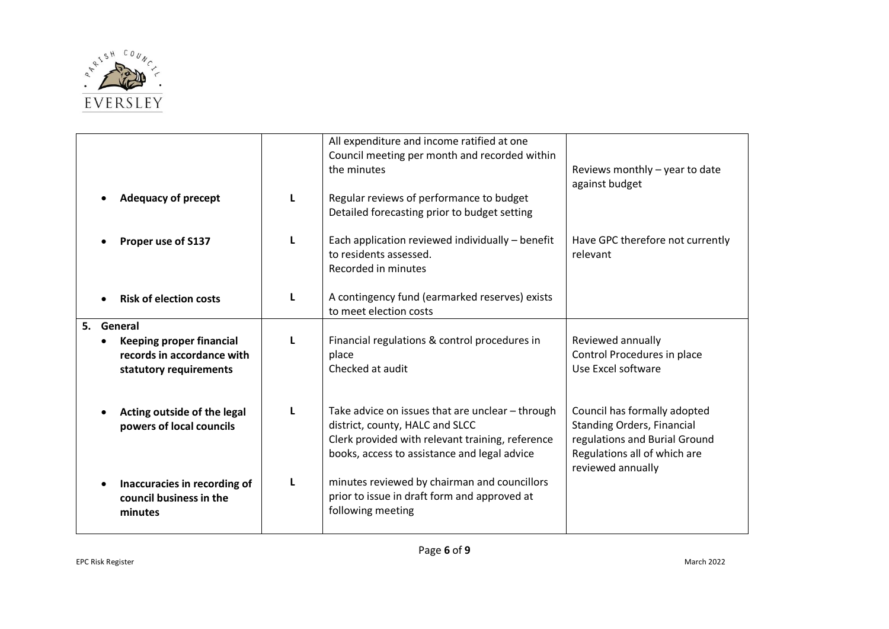

|                                                                                         |   | All expenditure and income ratified at one<br>Council meeting per month and recorded within<br>the minutes                                                                              | Reviews monthly - year to date<br>against budget                                                                                                        |
|-----------------------------------------------------------------------------------------|---|-----------------------------------------------------------------------------------------------------------------------------------------------------------------------------------------|---------------------------------------------------------------------------------------------------------------------------------------------------------|
| <b>Adequacy of precept</b>                                                              | L | Regular reviews of performance to budget<br>Detailed forecasting prior to budget setting                                                                                                |                                                                                                                                                         |
| Proper use of S137                                                                      | L | Each application reviewed individually - benefit<br>to residents assessed.<br>Recorded in minutes                                                                                       | Have GPC therefore not currently<br>relevant                                                                                                            |
| <b>Risk of election costs</b>                                                           | L | A contingency fund (earmarked reserves) exists<br>to meet election costs                                                                                                                |                                                                                                                                                         |
| 5. General                                                                              |   |                                                                                                                                                                                         |                                                                                                                                                         |
| <b>Keeping proper financial</b><br>records in accordance with<br>statutory requirements | L | Financial regulations & control procedures in<br>place<br>Checked at audit                                                                                                              | Reviewed annually<br>Control Procedures in place<br>Use Excel software                                                                                  |
| Acting outside of the legal<br>powers of local councils                                 | L | Take advice on issues that are unclear - through<br>district, county, HALC and SLCC<br>Clerk provided with relevant training, reference<br>books, access to assistance and legal advice | Council has formally adopted<br><b>Standing Orders, Financial</b><br>regulations and Burial Ground<br>Regulations all of which are<br>reviewed annually |
| Inaccuracies in recording of<br>council business in the<br>minutes                      | L | minutes reviewed by chairman and councillors<br>prior to issue in draft form and approved at<br>following meeting                                                                       |                                                                                                                                                         |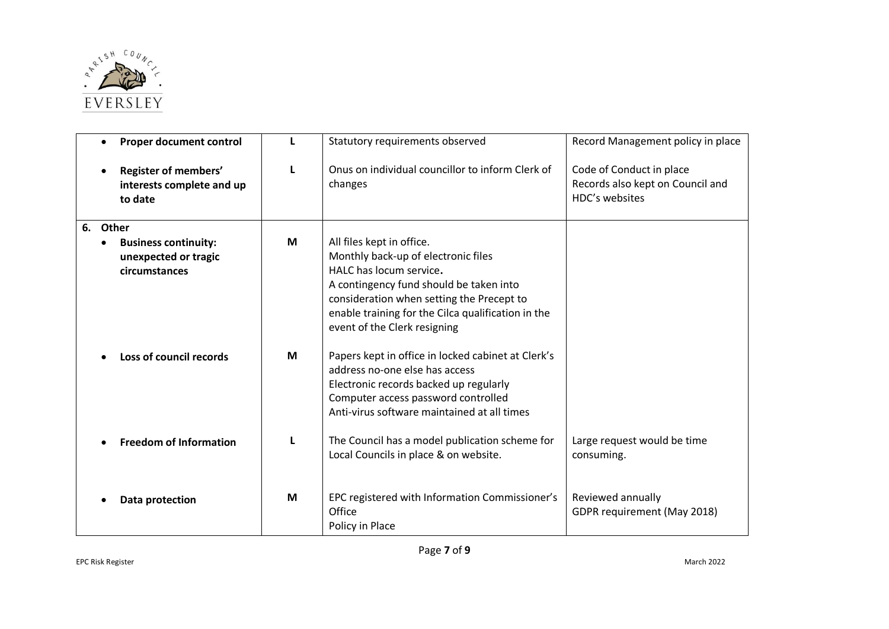

| $\bullet$ | Proper document control                                              | L | Statutory requirements observed                                                                                                                                                                                                                                           | Record Management policy in place                                              |
|-----------|----------------------------------------------------------------------|---|---------------------------------------------------------------------------------------------------------------------------------------------------------------------------------------------------------------------------------------------------------------------------|--------------------------------------------------------------------------------|
|           | Register of members'<br>interests complete and up<br>to date         | L | Onus on individual councillor to inform Clerk of<br>changes                                                                                                                                                                                                               | Code of Conduct in place<br>Records also kept on Council and<br>HDC's websites |
| 6.        | Other                                                                |   |                                                                                                                                                                                                                                                                           |                                                                                |
|           | <b>Business continuity:</b><br>unexpected or tragic<br>circumstances | M | All files kept in office.<br>Monthly back-up of electronic files<br>HALC has locum service.<br>A contingency fund should be taken into<br>consideration when setting the Precept to<br>enable training for the Cilca qualification in the<br>event of the Clerk resigning |                                                                                |
|           | Loss of council records                                              | M | Papers kept in office in locked cabinet at Clerk's<br>address no-one else has access<br>Electronic records backed up regularly<br>Computer access password controlled<br>Anti-virus software maintained at all times                                                      |                                                                                |
|           | <b>Freedom of Information</b>                                        |   | The Council has a model publication scheme for<br>Local Councils in place & on website.                                                                                                                                                                                   | Large request would be time<br>consuming.                                      |
|           | <b>Data protection</b>                                               | M | EPC registered with Information Commissioner's<br>Office<br>Policy in Place                                                                                                                                                                                               | Reviewed annually<br>GDPR requirement (May 2018)                               |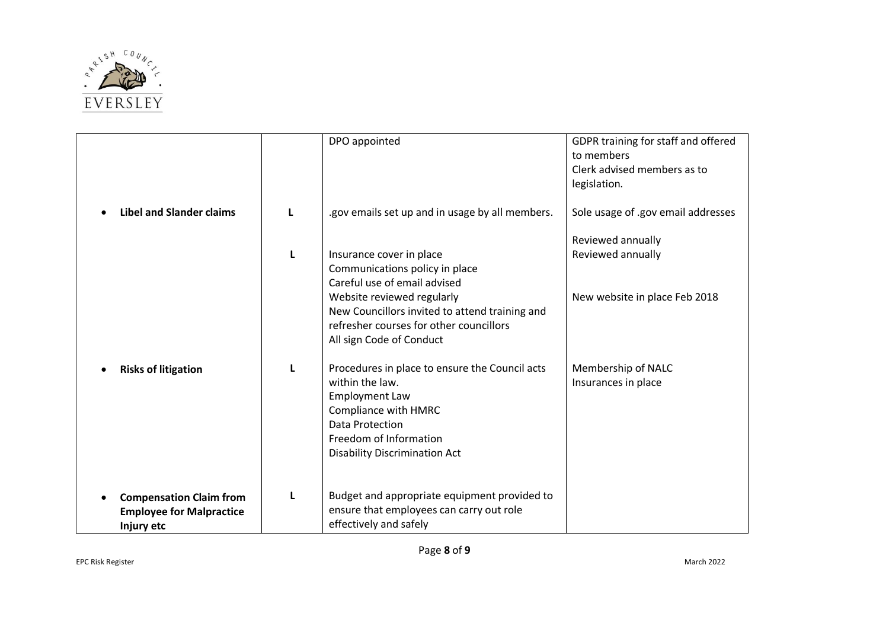

|                                                                                 |   | DPO appointed                                                                                                                                                                                                                                     | GDPR training for staff and offered<br>to members<br>Clerk advised members as to<br>legislation. |
|---------------------------------------------------------------------------------|---|---------------------------------------------------------------------------------------------------------------------------------------------------------------------------------------------------------------------------------------------------|--------------------------------------------------------------------------------------------------|
| <b>Libel and Slander claims</b>                                                 | L | .gov emails set up and in usage by all members.                                                                                                                                                                                                   | Sole usage of .gov email addresses                                                               |
|                                                                                 | L | Insurance cover in place<br>Communications policy in place<br>Careful use of email advised<br>Website reviewed regularly<br>New Councillors invited to attend training and<br>refresher courses for other councillors<br>All sign Code of Conduct | Reviewed annually<br>Reviewed annually<br>New website in place Feb 2018                          |
| <b>Risks of litigation</b><br>$\bullet$                                         | L | Procedures in place to ensure the Council acts<br>within the law.<br><b>Employment Law</b><br>Compliance with HMRC<br>Data Protection<br>Freedom of Information<br><b>Disability Discrimination Act</b>                                           | Membership of NALC<br>Insurances in place                                                        |
| <b>Compensation Claim from</b><br><b>Employee for Malpractice</b><br>Injury etc | L | Budget and appropriate equipment provided to<br>ensure that employees can carry out role<br>effectively and safely                                                                                                                                |                                                                                                  |